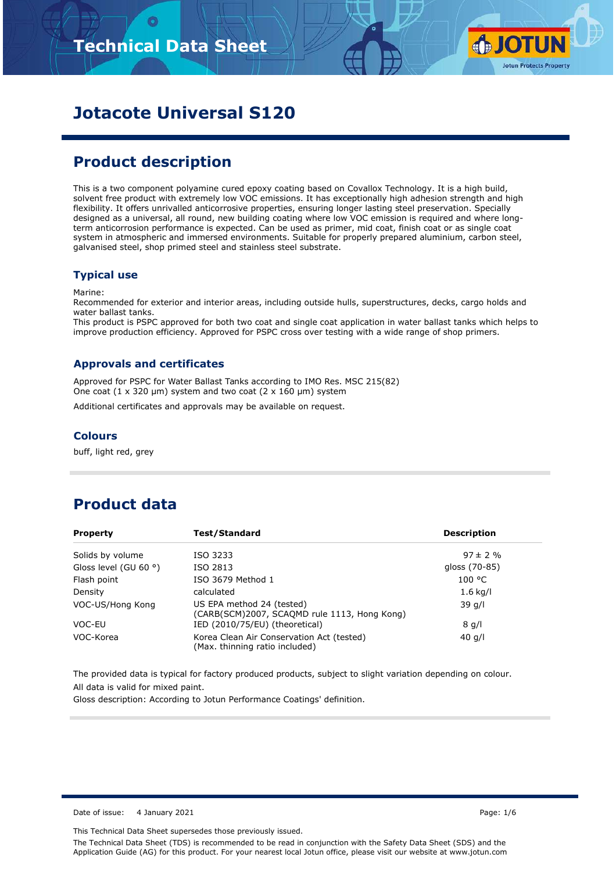

# **Jotacote Universal S120**

# **Product description**

This is a two component polyamine cured epoxy coating based on Covallox Technology. It is a high build, solvent free product with extremely low VOC emissions. It has exceptionally high adhesion strength and high flexibility. It offers unrivalled anticorrosive properties, ensuring longer lasting steel preservation. Specially designed as a universal, all round, new building coating where low VOC emission is required and where longterm anticorrosion performance is expected. Can be used as primer, mid coat, finish coat or as single coat system in atmospheric and immersed environments. Suitable for properly prepared aluminium, carbon steel, galvanised steel, shop primed steel and stainless steel substrate.

#### **Typical use**

Marine:

Recommended for exterior and interior areas, including outside hulls, superstructures, decks, cargo holds and water ballast tanks.

This product is PSPC approved for both two coat and single coat application in water ballast tanks which helps to improve production efficiency. Approved for PSPC cross over testing with a wide range of shop primers.

#### **Approvals and certificates**

Approved for PSPC for Water Ballast Tanks according to IMO Res. MSC 215(82) One coat  $(1 \times 320 \text{ }\mu\text{m})$  system and two coat  $(2 \times 160 \text{ }\mu\text{m})$  system

Additional certificates and approvals may be available on request.

#### **Colours**

buff, light red, grey

# **Product data**

| <b>Property</b>                | Test/Standard                                                               | <b>Description</b> |
|--------------------------------|-----------------------------------------------------------------------------|--------------------|
| Solids by volume               | ISO 3233                                                                    | $97 \pm 2 \%$      |
| Gloss level (GU 60 $\degree$ ) | ISO 2813                                                                    | gloss (70-85)      |
| Flash point                    | ISO 3679 Method 1                                                           | 100 °C             |
| Density                        | calculated                                                                  | $1.6$ kg/l         |
| VOC-US/Hong Kong               | US EPA method 24 (tested)<br>(CARB(SCM)2007, SCAQMD rule 1113, Hong Kong)   | 39q/1              |
| VOC-EU                         | IED (2010/75/EU) (theoretical)                                              | 8q/l               |
| VOC-Korea                      | Korea Clean Air Conservation Act (tested)<br>(Max. thinning ratio included) | 40 $q/l$           |

The provided data is typical for factory produced products, subject to slight variation depending on colour. All data is valid for mixed paint.

Gloss description: According to Jotun Performance Coatings' definition.

Date of issue: 4 January 2021 **Page: 1/6** Page: 1/6

This Technical Data Sheet supersedes those previously issued.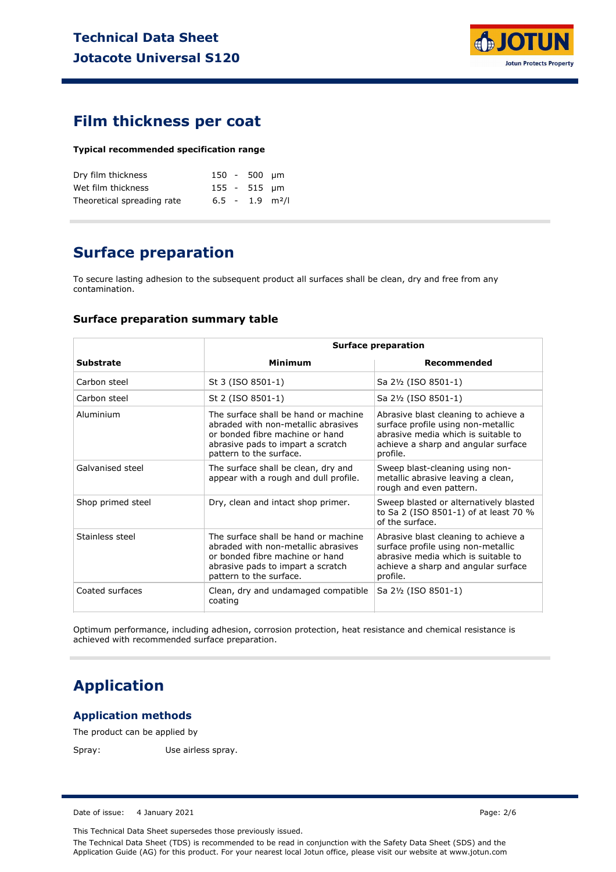

### **Film thickness per coat**

#### **Typical recommended specification range**

| Dry film thickness         |  | 150 - 500 µm |                               |
|----------------------------|--|--------------|-------------------------------|
| Wet film thickness         |  | 155 - 515 um |                               |
| Theoretical spreading rate |  |              | $6.5 - 1.9$ m <sup>2</sup> /l |

# **Surface preparation**

To secure lasting adhesion to the subsequent product all surfaces shall be clean, dry and free from any contamination.

#### **Surface preparation summary table**

|                   | <b>Surface preparation</b>                                                                                                                                                     |                                                                                                                                                                      |  |
|-------------------|--------------------------------------------------------------------------------------------------------------------------------------------------------------------------------|----------------------------------------------------------------------------------------------------------------------------------------------------------------------|--|
| <b>Substrate</b>  | <b>Minimum</b>                                                                                                                                                                 | Recommended                                                                                                                                                          |  |
| Carbon steel      | St 3 (ISO 8501-1)                                                                                                                                                              | Sa 2½ (ISO 8501-1)                                                                                                                                                   |  |
| Carbon steel      | St 2 (ISO 8501-1)                                                                                                                                                              | Sa 2½ (ISO 8501-1)                                                                                                                                                   |  |
| Aluminium         | The surface shall be hand or machine<br>abraded with non-metallic abrasives<br>or bonded fibre machine or hand<br>abrasive pads to impart a scratch<br>pattern to the surface. | Abrasive blast cleaning to achieve a<br>surface profile using non-metallic<br>abrasive media which is suitable to<br>achieve a sharp and angular surface<br>profile. |  |
| Galvanised steel  | The surface shall be clean, dry and<br>appear with a rough and dull profile.                                                                                                   | Sweep blast-cleaning using non-<br>metallic abrasive leaving a clean,<br>rough and even pattern.                                                                     |  |
| Shop primed steel | Dry, clean and intact shop primer.                                                                                                                                             | Sweep blasted or alternatively blasted<br>to Sa 2 (ISO 8501-1) of at least 70 %<br>of the surface.                                                                   |  |
| Stainless steel   | The surface shall be hand or machine<br>abraded with non-metallic abrasives<br>or bonded fibre machine or hand<br>abrasive pads to impart a scratch<br>pattern to the surface. | Abrasive blast cleaning to achieve a<br>surface profile using non-metallic<br>abrasive media which is suitable to<br>achieve a sharp and angular surface<br>profile. |  |
| Coated surfaces   | Clean, dry and undamaged compatible<br>coating                                                                                                                                 | Sa 2½ (ISO 8501-1)                                                                                                                                                   |  |
|                   |                                                                                                                                                                                |                                                                                                                                                                      |  |

Optimum performance, including adhesion, corrosion protection, heat resistance and chemical resistance is achieved with recommended surface preparation.

### **Application**

#### **Application methods**

The product can be applied by

Spray: Use airless spray.

Date of issue: 4 January 2021 **Page: 2/6** Page: 2/6

This Technical Data Sheet supersedes those previously issued.

The Technical Data Sheet (TDS) is recommended to be read in conjunction with the Safety Data Sheet (SDS) and the Application Guide (AG) for this product. For your nearest local Jotun office, please visit our website at www.jotun.com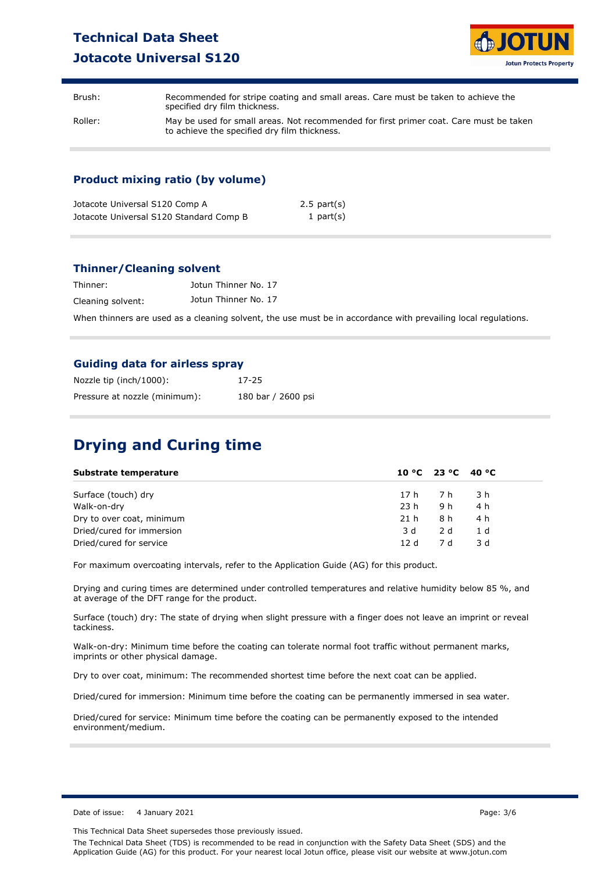# **Technical Data Sheet Jotacote Universal S120**



Brush: Recommended for stripe coating and small areas. Care must be taken to achieve the specified dry film thickness. Roller: May be used for small areas. Not recommended for first primer coat. Care must be taken to achieve the specified dry film thickness.

### **Product mixing ratio (by volume)**

| Jotacote Universal S120 Comp A          | $2.5$ part $(s)$ |
|-----------------------------------------|------------------|
| Jotacote Universal S120 Standard Comp B | 1 part $(s)$     |

#### **Thinner/Cleaning solvent**

| Thinner:          | Jotun Thinner No. 17 |
|-------------------|----------------------|
| Cleaning solvent: | Jotun Thinner No. 17 |

When thinners are used as a cleaning solvent, the use must be in accordance with prevailing local regulations.

#### **Guiding data for airless spray**

| Nozzle tip (inch/1000):       | 17-25              |
|-------------------------------|--------------------|
| Pressure at nozzle (minimum): | 180 bar / 2600 psi |

# **Drying and Curing time**

| Substrate temperature     |        | 10 °C 23 °C 40 °C |                |
|---------------------------|--------|-------------------|----------------|
| Surface (touch) dry       | 17 h7h |                   | - 3 h          |
| Walk-on-dry               | 23 h   | 9 h               | 4 h            |
| Dry to over coat, minimum | 21 h   | 8 h               | 4 h            |
| Dried/cured for immersion | 3 d    | 2 d               | 1 <sub>d</sub> |
| Dried/cured for service   | 12d    | 7 d               | 3 d            |

For maximum overcoating intervals, refer to the Application Guide (AG) for this product.

Drying and curing times are determined under controlled temperatures and relative humidity below 85 %, and at average of the DFT range for the product.

Surface (touch) dry: The state of drying when slight pressure with a finger does not leave an imprint or reveal tackiness.

Walk-on-dry: Minimum time before the coating can tolerate normal foot traffic without permanent marks, imprints or other physical damage.

Dry to over coat, minimum: The recommended shortest time before the next coat can be applied.

Dried/cured for immersion: Minimum time before the coating can be permanently immersed in sea water.

Dried/cured for service: Minimum time before the coating can be permanently exposed to the intended environment/medium.

This Technical Data Sheet supersedes those previously issued.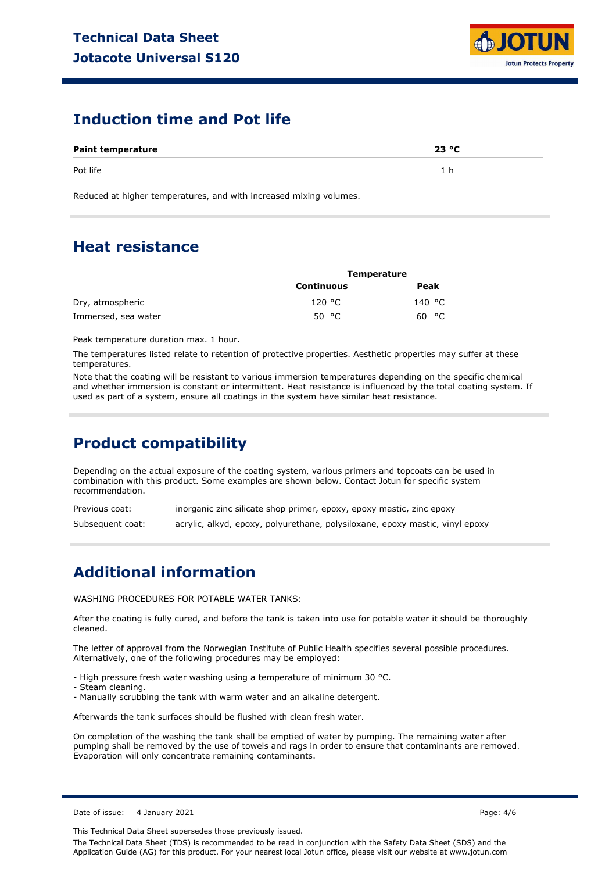

### **Induction time and Pot life**

| <b>Paint temperature</b> | 23 °C |
|--------------------------|-------|
| Pot life                 | 'ከ    |

Reduced at higher temperatures, and with increased mixing volumes.

### **Heat resistance**

|                     | <b>Temperature</b> |        |  |
|---------------------|--------------------|--------|--|
|                     | <b>Continuous</b>  | Peak   |  |
| Dry, atmospheric    | 120 °C             | 140 °C |  |
| Immersed, sea water | 50 $\degree$ C     | 60 °C  |  |

Peak temperature duration max. 1 hour.

The temperatures listed relate to retention of protective properties. Aesthetic properties may suffer at these temperatures.

Note that the coating will be resistant to various immersion temperatures depending on the specific chemical and whether immersion is constant or intermittent. Heat resistance is influenced by the total coating system. If used as part of a system, ensure all coatings in the system have similar heat resistance.

# **Product compatibility**

Depending on the actual exposure of the coating system, various primers and topcoats can be used in combination with this product. Some examples are shown below. Contact Jotun for specific system recommendation.

Previous coat: Subsequent coat: inorganic zinc silicate shop primer, epoxy, epoxy mastic, zinc epoxy acrylic, alkyd, epoxy, polyurethane, polysiloxane, epoxy mastic, vinyl epoxy

### **Additional information**

WASHING PROCEDURES FOR POTABLE WATER TANKS:

After the coating is fully cured, and before the tank is taken into use for potable water it should be thoroughly cleaned.

The letter of approval from the Norwegian Institute of Public Health specifies several possible procedures. Alternatively, one of the following procedures may be employed:

- High pressure fresh water washing using a temperature of minimum 30 °C.

- Steam cleaning.
- Manually scrubbing the tank with warm water and an alkaline detergent.

Afterwards the tank surfaces should be flushed with clean fresh water.

On completion of the washing the tank shall be emptied of water by pumping. The remaining water after pumping shall be removed by the use of towels and rags in order to ensure that contaminants are removed. Evaporation will only concentrate remaining contaminants.

This Technical Data Sheet supersedes those previously issued.

The Technical Data Sheet (TDS) is recommended to be read in conjunction with the Safety Data Sheet (SDS) and the Application Guide (AG) for this product. For your nearest local Jotun office, please visit our website at www.jotun.com

Date of issue: 4 January 2021 **Page: 4/6**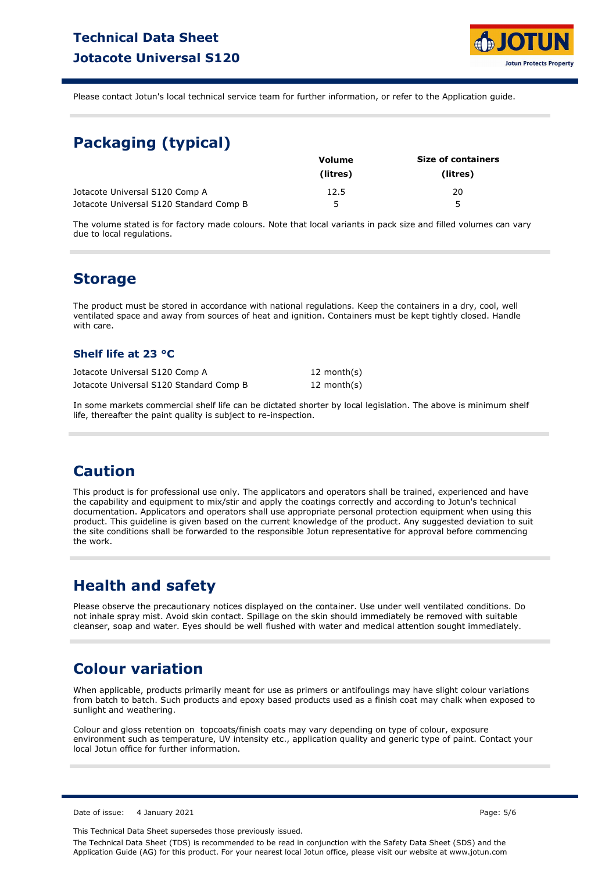

Please contact Jotun's local technical service team for further information, or refer to the Application guide.

# **Packaging (typical)**

|                                         | Volume   | <b>Size of containers</b> |
|-----------------------------------------|----------|---------------------------|
|                                         | (litres) | (litres)                  |
| Jotacote Universal S120 Comp A          | 12.5     | 20                        |
| Jotacote Universal S120 Standard Comp B | ∽        | 5                         |

The volume stated is for factory made colours. Note that local variants in pack size and filled volumes can vary due to local regulations.

### **Storage**

The product must be stored in accordance with national regulations. Keep the containers in a dry, cool, well ventilated space and away from sources of heat and ignition. Containers must be kept tightly closed. Handle with care.

### **Shelf life at 23 °C**

| Jotacote Universal S120 Comp A          | 12 month(s)    |
|-----------------------------------------|----------------|
| Jotacote Universal S120 Standard Comp B | 12 month $(s)$ |

In some markets commercial shelf life can be dictated shorter by local legislation. The above is minimum shelf life, thereafter the paint quality is subject to re-inspection.

### **Caution**

This product is for professional use only. The applicators and operators shall be trained, experienced and have the capability and equipment to mix/stir and apply the coatings correctly and according to Jotun's technical documentation. Applicators and operators shall use appropriate personal protection equipment when using this product. This guideline is given based on the current knowledge of the product. Any suggested deviation to suit the site conditions shall be forwarded to the responsible Jotun representative for approval before commencing the work.

# **Health and safety**

Please observe the precautionary notices displayed on the container. Use under well ventilated conditions. Do not inhale spray mist. Avoid skin contact. Spillage on the skin should immediately be removed with suitable cleanser, soap and water. Eyes should be well flushed with water and medical attention sought immediately.

### **Colour variation**

When applicable, products primarily meant for use as primers or antifoulings may have slight colour variations from batch to batch. Such products and epoxy based products used as a finish coat may chalk when exposed to sunlight and weathering.

Colour and gloss retention on topcoats/finish coats may vary depending on type of colour, exposure environment such as temperature, UV intensity etc., application quality and generic type of paint. Contact your local Jotun office for further information.

Date of issue: 4 January 2021 **Page: 5/6** 

This Technical Data Sheet supersedes those previously issued.

The Technical Data Sheet (TDS) is recommended to be read in conjunction with the Safety Data Sheet (SDS) and the Application Guide (AG) for this product. For your nearest local Jotun office, please visit our website at www.jotun.com